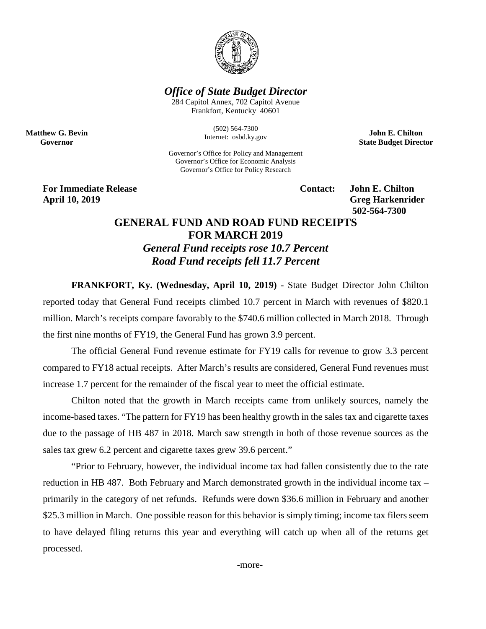

## *Office of State Budget Director*

284 Capitol Annex, 702 Capitol Avenue Frankfort, Kentucky 40601

> (502) 564-7300 Internet: osbd.ky.gov

Governor's Office for Policy and Management Governor's Office for Economic Analysis Governor's Office for Policy Research

**John E. Chilton State Budget Director**

**For Immediate Release Contact: John E. Chilton April 10, 2019 Greg Harkenrider**

**Matthew G. Bevin Governor**

**502-564-7300** 

## **GENERAL FUND AND ROAD FUND RECEIPTS FOR MARCH 2019**

*General Fund receipts rose 10.7 Percent Road Fund receipts fell 11.7 Percent*

**FRANKFORT, Ky. (Wednesday, April 10, 2019)** - State Budget Director John Chilton reported today that General Fund receipts climbed 10.7 percent in March with revenues of \$820.1 million. March's receipts compare favorably to the \$740.6 million collected in March 2018. Through the first nine months of FY19, the General Fund has grown 3.9 percent.

The official General Fund revenue estimate for FY19 calls for revenue to grow 3.3 percent compared to FY18 actual receipts. After March's results are considered, General Fund revenues must increase 1.7 percent for the remainder of the fiscal year to meet the official estimate.

Chilton noted that the growth in March receipts came from unlikely sources, namely the income-based taxes. "The pattern for FY19 has been healthy growth in the sales tax and cigarette taxes due to the passage of HB 487 in 2018. March saw strength in both of those revenue sources as the sales tax grew 6.2 percent and cigarette taxes grew 39.6 percent."

"Prior to February, however, the individual income tax had fallen consistently due to the rate reduction in HB 487. Both February and March demonstrated growth in the individual income tax – primarily in the category of net refunds. Refunds were down \$36.6 million in February and another \$25.3 million in March. One possible reason for this behavior is simply timing; income tax filers seem to have delayed filing returns this year and everything will catch up when all of the returns get processed.

-more-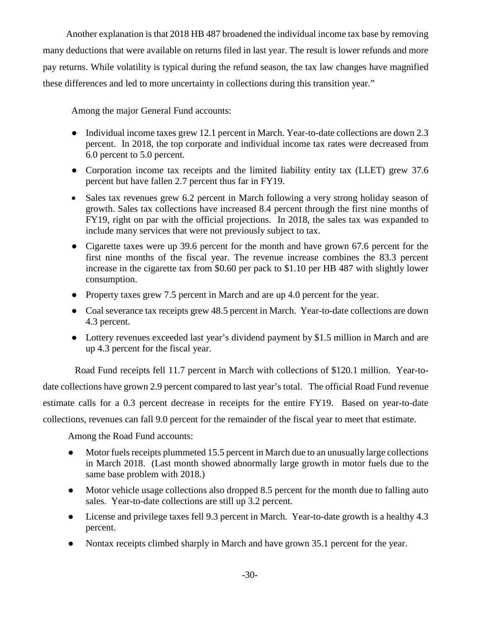Another explanation is that 2018 HB 487 broadened the individual income tax base by removing many deductions that were available on returns filed in last year. The result is lower refunds and more pay returns. While volatility is typical during the refund season, the tax law changes have magnified these differences and led to more uncertainty in collections during this transition year."

Among the major General Fund accounts:

- Individual income taxes grew 12.1 percent in March. Year-to-date collections are down 2.3 percent. In 2018, the top corporate and individual income tax rates were decreased from 6.0 percent to 5.0 percent.
- Corporation income tax receipts and the limited liability entity tax (LLET) grew 37.6 percent but have fallen 2.7 percent thus far in FY19.
- Sales tax revenues grew 6.2 percent in March following a very strong holiday season of growth. Sales tax collections have increased 8.4 percent through the first nine months of FY19, right on par with the official projections. In 2018, the sales tax was expanded to include many services that were not previously subject to tax.
- Cigarette taxes were up 39.6 percent for the month and have grown 67.6 percent for the first nine months of the fiscal year. The revenue increase combines the 83.3 percent increase in the cigarette tax from \$0.60 per pack to \$1.10 per HB 487 with slightly lower consumption.
- Property taxes grew 7.5 percent in March and are up 4.0 percent for the year.
- Coal severance tax receipts grew 48.5 percent in March. Year-to-date collections are down 4.3 percent.
- Lottery revenues exceeded last year's dividend payment by \$1.5 million in March and are up 4.3 percent for the fiscal year.

Road Fund receipts fell 11.7 percent in March with collections of \$120.1 million. Year-todate collections have grown 2.9 percent compared to last year's total. The official Road Fund revenue estimate calls for a 0.3 percent decrease in receipts for the entire FY19. Based on year-to-date collections, revenues can fall 9.0 percent for the remainder of the fiscal year to meet that estimate.

Among the Road Fund accounts:

- Motor fuels receipts plummeted 15.5 percent in March due to an unusually large collections in March 2018. (Last month showed abnormally large growth in motor fuels due to the same base problem with 2018.)
- Motor vehicle usage collections also dropped 8.5 percent for the month due to falling auto sales. Year-to-date collections are still up 3.2 percent.
- License and privilege taxes fell 9.3 percent in March. Year-to-date growth is a healthy 4.3 percent.
- Nontax receipts climbed sharply in March and have grown 35.1 percent for the year.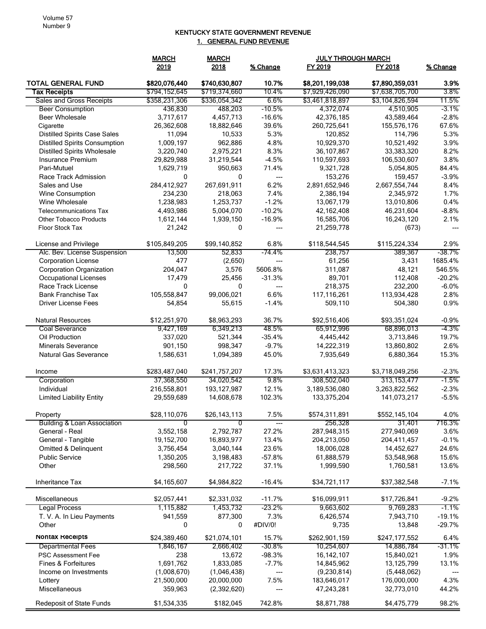## KENTUCKY STATE GOVERNMENT REVENUE 1. GENERAL FUND REVENUE

|                                        | <b>MARCH</b><br><b>MARCH</b> |               |          | <b>JULY THROUGH MARCH</b> |                 |          |
|----------------------------------------|------------------------------|---------------|----------|---------------------------|-----------------|----------|
|                                        | 2019                         | 2018          | % Change | FY 2019                   | FY 2018         | % Change |
| <b>TOTAL GENERAL FUND</b>              | \$820,076,440                | \$740,630,807 | 10.7%    | \$8,201,199,038           | \$7,890,359,031 | 3.9%     |
| <b>Tax Receipts</b>                    | \$794,152,645                | \$719,374,660 | 10.4%    | \$7,929,426,090           | \$7,638,705,700 | 3.8%     |
| Sales and Gross Receipts               | \$358,231,306                | \$336,054,342 | $6.6\%$  | \$3,461,818,897           | \$3,104,826,594 | 11.5%    |
| <b>Beer Consumption</b>                | 436,830                      | 488,203       | $-10.5%$ | 4,372,074                 | 4,510,905       | $-3.1\%$ |
| <b>Beer Wholesale</b>                  | 3,717,617                    | 4,457,713     | $-16.6%$ | 42,376,185                | 43,589,464      | $-2.8%$  |
| Cigarette                              | 26,362,608                   | 18,882,646    | 39.6%    | 260,725,641               | 155,576,176     | 67.6%    |
| <b>Distilled Spirits Case Sales</b>    | 11,094                       | 10,533        | 5.3%     | 120,852                   | 114,796         | 5.3%     |
| <b>Distilled Spirits Consumption</b>   | 1,009,197                    | 962,886       | 4.8%     | 10,929,370                | 10,521,492      | 3.9%     |
| <b>Distilled Spirits Wholesale</b>     | 3,220,740                    | 2,975,221     | 8.3%     | 36,107,867                | 33,383,320      | 8.2%     |
| Insurance Premium                      | 29,829,988                   | 31,219,544    | $-4.5%$  | 110,597,693               | 106,530,607     | 3.8%     |
| Pari-Mutuel                            | 1,629,719                    | 950,663       | 71.4%    | 9,321,728                 | 5,054,805       | 84.4%    |
| Race Track Admission                   | $\mathbf{0}$                 | 0             | $---$    | 153,276                   | 159,457         | $-3.9%$  |
| Sales and Use                          | 284,412,927                  | 267,691,911   | 6.2%     | 2,891,652,946             | 2,667,554,744   | 8.4%     |
| Wine Consumption                       | 234,230                      | 218,063       | 7.4%     | 2,386,194                 | 2,345,972       | 1.7%     |
| Wine Wholesale                         | 1,238,983                    | 1,253,737     | $-1.2%$  | 13,067,179                | 13,010,806      | 0.4%     |
| <b>Telecommunications Tax</b>          | 4,493,986                    | 5,004,070     | $-10.2%$ | 42,162,408                | 46,231,604      | $-8.8%$  |
| <b>Other Tobacco Products</b>          | 1,612,144                    | 1,939,150     | $-16.9%$ | 16,585,706                | 16,243,120      | 2.1%     |
| <b>Floor Stock Tax</b>                 | 21,242                       | 0             | ---      | 21,259,778                | (673)           | ---      |
| License and Privilege                  | \$105,849,205                | \$99,140,852  | 6.8%     | \$118,544,545             | \$115,224,334   | 2.9%     |
| Alc. Bev. License Suspension           | 13,500                       | 52,833        | -74.4%   | 238,757                   | 389,367         | $-38.7%$ |
| <b>Corporation License</b>             | 477                          | (2,650)       | $---$    | 61,256                    | 3,431           | 1685.4%  |
| <b>Corporation Organization</b>        | 204,047                      | 3,576         | 5606.8%  | 311,087                   | 48,121          | 546.5%   |
| Occupational Licenses                  | 17,479                       | 25,456        | $-31.3%$ | 89,701                    | 112,408         | $-20.2%$ |
| Race Track License                     | $\mathbf{0}$                 | 0             | $---$    | 218,375                   | 232,200         | $-6.0%$  |
| <b>Bank Franchise Tax</b>              | 105,558,847                  | 99,006,021    | 6.6%     | 117,116,261               | 113,934,428     | 2.8%     |
| <b>Driver License Fees</b>             | 54,854                       | 55,615        | $-1.4%$  | 509,110                   | 504,380         | 0.9%     |
| Natural Resources                      | \$12,251,970                 | \$8,963,293   | 36.7%    | \$92,516,406              | \$93,351,024    | $-0.9%$  |
| Coal Severance                         | 9,427,169                    | 6,349,213     | 48.5%    | 65,912,996                | 68,896,013      | $-4.3%$  |
| Oil Production                         | 337,020                      | 521,344       | $-35.4%$ | 4,445,442                 | 3,713,846       | 19.7%    |
| <b>Minerals Severance</b>              | 901,150                      | 998,347       | $-9.7%$  | 14,222,319                | 13,860,802      | 2.6%     |
| <b>Natural Gas Severance</b>           | 1,586,631                    | 1,094,389     | 45.0%    | 7,935,649                 | 6,880,364       | 15.3%    |
| Income                                 | \$283,487,040                | \$241,757,207 | 17.3%    | \$3,631,413,323           | \$3,718,049,256 | $-2.3%$  |
| Corporation                            | 37,368,550                   | 34,020,542    | 9.8%     | 308,502,040               | 313,153,477     | $-1.5\%$ |
| Individual                             | 216,558,801                  | 193, 127, 987 | 12.1%    | 3,189,536,080             | 3,263,822,562   | $-2.3%$  |
| <b>Limited Liability Entity</b>        | 29,559,689                   | 14,608,678    | 102.3%   | 133,375,204               | 141,073,217     | $-5.5%$  |
| Property                               | \$28,110,076                 | \$26,143,113  | 7.5%     | \$574,311,891             | \$552,145,104   | 4.0%     |
| <b>Building &amp; Loan Association</b> | 0                            | 0             | $---$    | 256,328                   | 31,401          | 716.3%   |
| General - Real                         | 3,552,158                    | 2,792,787     | 27.2%    | 287,948,315               | 277,940,069     | 3.6%     |
| General - Tangible                     | 19,152,700                   | 16,893,977    | 13.4%    | 204,213,050               | 204,411,457     | $-0.1%$  |
| Omitted & Delinquent                   | 3,756,454                    | 3,040,144     | 23.6%    | 18,006,028                | 14,452,627      | 24.6%    |
| <b>Public Service</b>                  | 1,350,205                    | 3,198,483     | $-57.8%$ | 61,888,579                | 53,548,968      | 15.6%    |
| Other                                  | 298,560                      | 217,722       | 37.1%    | 1,999,590                 | 1,760,581       | 13.6%    |
| Inheritance Tax                        | \$4,165,607                  | \$4,984,822   | $-16.4%$ | \$34,721,117              | \$37,382,548    | $-7.1%$  |
| Miscellaneous                          | \$2,057,441                  | \$2,331,032   | $-11.7%$ | \$16,099,911              | \$17,726,841    | $-9.2%$  |
| Legal Process                          | 1,115,882                    | 1,453,732     | -23.2%   | 9,663,602                 | 9,769,283       | -1.1%    |
| T. V. A. In Lieu Payments              | 941,559                      | 877,300       | 7.3%     | 6,426,574                 | 7,943,710       | $-19.1%$ |
| Other                                  | 0                            | 0             | #DIV/0!  | 9,735                     | 13,848          | $-29.7%$ |
| NONTAX Receipts                        | \$24,389,460                 | \$21,074,101  | 15.7%    | \$262,901,159             | \$247,177,552   | 6.4%     |
| <b>Departmental Fees</b>               | 1,846,167                    | 2,666,402     | $-30.8%$ | 10,254,607                | 14,886,784      | -31.1%   |
| <b>PSC Assessment Fee</b>              | 238                          | 13,672        | $-98.3%$ | 16, 142, 107              | 15,840,021      | 1.9%     |
| Fines & Forfeitures                    | 1,691,762                    | 1,833,085     | $-7.7%$  | 14,845,962                | 13,125,799      | 13.1%    |
| Income on Investments                  | (1,008,670)                  | (1,046,438)   | ---      | (9,230,814)               | (5,448,062)     |          |
| Lottery                                | 21,500,000                   | 20,000,000    | 7.5%     | 183,646,017               | 176,000,000     | 4.3%     |
| Miscellaneous                          | 359,963                      | (2,392,620)   |          | 47,243,281                | 32,773,010      | 44.2%    |
| Redeposit of State Funds               | \$1,534,335                  | \$182,045     | 742.8%   | \$8,871,788               | \$4,475,779     | 98.2%    |